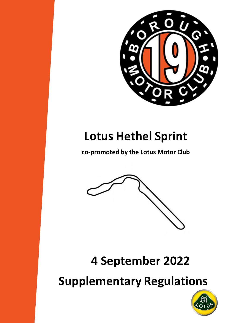

# **Lotus Hethel Sprint**

**co-promoted by the Lotus Motor Club**



# **4 September 2022**

**Supplementary Regulations**

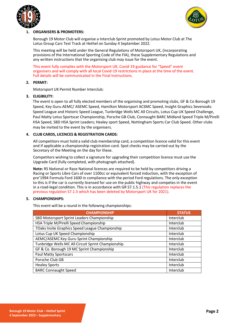



# **1. ORGANISERS & PROMOTERS:**

Borough 19 Motor Club will organise a Interclub Sprint promoted by Lotus Motor Club at The Lotus Group Cars Test Track at Hethel on Sunday 4 September 2022.

This meeting will be held under the General Regulations of Motorsport UK, (incorporating provisions of the International Sporting Code of the FIA), these Supplementary Regulations and any written instructions that the organising club may issue for the event.

This event fully complies with the Motorsport UK, Covid-19 guidance for "Speed" event organisers and will comply with all local Covid-19 restrictions in place at the time of the event. Full details will be communicated in the Final Instructions.

# **2. PERMIT:**

Motorsport UK Permit Number Interclub:

# **3. ELIGIBILITY:**

The event is open to all fully elected members of the organising and promoting clubs, GF & Co Borough 19 Speed, Key Guru AEMC/ ASEMC Speed, Hamilton Motorsport ACSMC Speed, Insight Graphics Sevenoaks Speed League and Historic Speed League, Tunbridge Wells MC All Circuits, Lotus Cup UK Speed Challenge, Paul Matty Lotus Sportscar Championship, Porsche GB Club, Connaught BARC Midland Speed Triple M/Pirelli HSA Speed, SBD HSA Sprint Leaders; Healey sport Speed, Nottingham Sports Car Club Speed. Other clubs may be invited to the event by the organisers.

# **4. CLUB CARDS, LICENCES & REGISTRATION CARDS:**

All competitors must hold a valid club membership card, a competition licence valid for this event and if applicable a championship registration card. Spot checks may be carried out by the Secretary of the Meeting on the day for these.

Competitors wishing to collect a signature for upgrading their competition licence must use the Upgrade Card (fully completed, with photograph attached).

**Note:** RS National or Race National licences are required to be held by competitors driving a Racing or Sports Libre Cars of over 1100cc or equivalent forced induction, with the exception of pre'1994 Formula Ford 1600 in compliance with the period Ford regulations. The only exception to this is if the car is currently licensed for use on the public highway and competes in the event in a road-legal condition. This is in accordance with GR S7.1.5.1 (This regulation replaces the previous regulation S7.1.5 which has been deleted by Motorsport UK for 2021).

# **5. CHAMPIONSHIPS:**

This event will be a round in the following championships:

| <b>CHAMPIONSHIP</b>                                | <b>STATUS</b> |
|----------------------------------------------------|---------------|
| SBD Motorsport Sprint Leaders Championship         | Interclub     |
| HSA Triple M/Pirelli Speed Championship            | Interclub     |
| 7Oaks Insite Graphics Speed League Championship    | Interclub     |
| Lotus Cup UK Speed Championship                    | Interclub     |
| AEMC/ASEMC Key Guru Sprint Championship            | Interclub     |
| Tunbridge Wells MC All Circuit Sprint Championship | Interclub     |
| GF & Co. Borough 19 MC Sprint Championship         | Interclub     |
| <b>Paul Matty Sportscars</b>                       | Interclub     |
| Porsche Club GB                                    | Interclub     |
| <b>Healey Sports</b>                               | Interclub     |
| <b>BARC Connaught Speed</b>                        | Interclub     |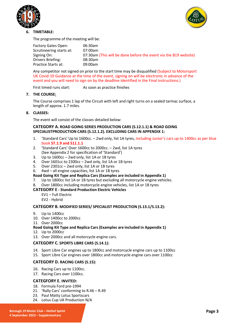



# **6. TIMETABLE:**

The programme of the meeting will be:

| Factory Gates Open:      | 06:30am                                                          |
|--------------------------|------------------------------------------------------------------|
| Scrutineering starts at: | 07:00am                                                          |
| Signing On:              | 07:30am (This will be done before the event via the B19 website) |
| Drivers Briefing:        | 08:30am                                                          |
| Practice Starts at:      | 09:00am                                                          |
|                          |                                                                  |

Any competitor not signed on prior to the start time may be disqualified (Subject to Motorsport UK Covid-19 Guidance at the time of the event, signing on will be electronic in advance of the event and you will need to sign on by the deadline identified in the Final Instructions.)

First timed runs start: As soon as practice finishes

# **7. THE COURSE:**

The Course comprises 1 lap of the Circuit with left and right turns on a sealed tarmac surface, a length of approx. 1.7 miles.

# **8. CLASSES:**

The event will consist of the classes detailed below:

# **CATEGORY A. ROAD GOING SERIES PRODUCTION CARS (S.12.1.1) & ROAD GOING SPECIALISTPRODUCTION CARS (S.12.1.2). EXCLUDING CARS IN APPENDIX 1:**

- 1. 'Standard Cars' Up to 1600cc. 2wd only, list 1A tyres, including Junior's cars up to 1400cc as per blue book **S7.1.9 and S11.1.1**
- 2. 'Standard Cars' Over 1600cc to 2000cc. 2wd, list 1A tyres (See Appendix 2 for specification of 'Standard')
- 3. Up to 1600cc 2wd only, list 1A or 1B tyres
- 4. Over 1601cc to 2300cc 2wd only, list 1A or 1B tyres
- 5. Over 2301cc 2wd only, list 1A or 1B tyres
- 6. 4wd all engine capacities, list 1A or 1B tyres

- **Road Going Kit Type and Replica Cars (Examples are included in Appendix 1)** Up to 1800cc list 1A or 1B tyres but excluding all motorcycle engine vehicles.
- 8. Over 1800cc including motorcycle engine vehicles, list 1A or 1B tyres

# **CATEGORY E - Standard Production Electric Vehicles**

EV1 – Full Electric EV2 - Hybrid

# **CATEGORY B. MODIFIED SERIES/ SPECIALIST PRODUCTION (S.13.1/S.13.2):**

- 9. Up to 1400cc
- 10. Over 1400cc to 2000cc
- 11. Over 2000cc

# **Road Going Kit Type and Replica Cars (Examples are included in Appendix 1)**

- 12. Up to 2000cc
- 13. Over 2000cc and all motorcycle engine cars.

# **CATEGORY C. SPORTS LIBRE CARS (S.14.1):**

- 14. Sport Libre Car engines up to 1800cc and motorcycle engine cars up to 1100cc
- 15. Sport Libre Car engines over 1800cc and motorcycle engine cars over 1100cc

# **CATEGORY D. RACING CARS (S.15):**

- 16. Racing Cars up to 1100cc.
- 17. Racing Cars over 1100cc.

# **CATEGFORY E. INVITED:**

- 18. Formula Ford pre-1994
- 21. 'Rally Cars' conforming to R.46 R.49
- 23. Paul Matty Lotus Sportscars
- 24. Lotus Cup UK Production N/A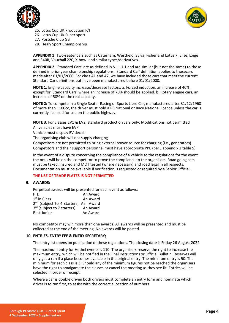



- 25. Lotus Cup UK Production F/I
- 26. Lotus Cup UK Super sport
- 27. Porsche Club GB
- 28. Healy Sport Championship

**APPENDIX 1**: Two-seater cars such as Caterham, Westfield, Sylva, Fisher and Lotus 7, Elise, Exige and 340R, Vauxhall 220, X-bow- and similar types/derivatives.

**APPENDIX 2:** 'Standard Cars' are as defined in S.11.1.1 and are similar (but not the same) to those defined in prior year championship regulations. 'Standard Car' definition applies to thosecars made after 01/01/2000. For class A1 and A2, we have included those cars that meet the current Standard Car definitions but have been manufactured before 01/01/2000.

**NOTE 1**: Engine capacity increase/decrease factors: a. Forced induction, an increase of 40%, except for 'Standard Cars' where an increase of 70% should be applied. b. Rotary engine cars, an increase of 50% on the real capacity.

**NOTE 2:** To compete in a Single Seater Racing or Sports Libre Car, manufactured after 31/12/1960 of more than 1100cc, the driver must hold a RS National or Race National licence unless the car is currently licensed for use on the public highway.

**NOTE 3:** For classes EV1 & EV2, standard production cars only. Modifications not permitted All vehicles must have EVP

Vehicle must display EV decals

The organising club will not supply charging

Competitors are not permitted to bring external power source for charging (i.e., generators) Competitors and their support personnel must have appropriate PPE (per J appendix 2 table 5)

In the event of a dispute concerning the compliance of a vehicle to the regulations for the event the onus will be on the competitor to prove the compliance to the organisers. Road going cars must be taxed, insured and MOT tested (where necessary) and road legal in all respects. Documentation must be available if verification is requested or required by a Senior Official.

# **THE USE OF TRADE PLATES IS NOT PERMITTED**

# **9. AWARDS:**

Perpetual awards will be presented for each event as follows:

| FTD.                                             | An Award |
|--------------------------------------------------|----------|
| $1st$ in Class                                   | An Award |
| 2 <sup>nd</sup> (subject to 4 starters) An Award |          |
| 3 <sup>rd</sup> (subject to 7 starters)          | An Award |
| <b>Best Junior</b>                               | An Award |

No competitor may win more than one awards. All awards will be presented and must be collected at the end of the meeting. No awards will be posted.

#### **10. ENTRIES, ENTRY FEE & ENTRY SECRETARY:**

The entry list opens on publication of these regulations. The closing date is Friday 26 August 2022.

The maximum entry for Hethel events is 110. The organisers reserve the right to increase the maximum entry, which will be notified in the Final Instructions or Official Bulletin. Reserves will only get a run if a place becomes available in the original entry. The minimum entry is 50. The minimum for each class is 3. Should any of the minimum figures not be reached the organisers have the right to amalgamate the classes or cancel the meeting as they see fit. Entries will be selected in order of receipt.

Where a car is double driven both drivers must complete an entry form and nominate which driver is to run first, to assist with the correct allocation of numbers.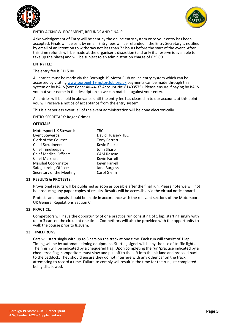



# ENTRY ACKNOWLEDGEMENT, REFUNDS AND FINALS:

Acknowledgement of Entry will be sent by the online entry system once your entry has been accepted. Finals will be sent by email. Entry fees will be refunded if the Entry Secretary is notified by email of an intention to withdraw not less than 72 hours before the start of the event. After this time refunds will be made at the organiser's discretion (and only if a reserve is available to take up the place) and will be subject to an administration charge of £25.00.

# ENTRY FEE:

The entry fee is £115.00.

All entries must be made via the Borough 19 Motor Club online entry system which can be accessed by visiting [www.borough19motorclub.org.uk](http://www.borough19motorclub.org.uk/) payments can be made through this system or by BACS (Sort Code: 40-44-37 Account No: 81403575). Please ensure if paying by BACS you put your name in the description so we can match it against your entry.

All entries will be held in abeyance until the entry fee has cleared in to our account, at this point you will receive a notice of acceptance from the entry system.

This is a paperless event; all of the event administration will be done electronically.

ENTRY SECRETARY: Roger Grimes

### **OFFICIALS:**

| Motorsport UK Steward:        | TBC                  |
|-------------------------------|----------------------|
| Event Stewards:               | David Hussey/ TBC    |
| Clerk of the Course:          | <b>Tony Perrett</b>  |
| <b>Chief Scrutineer:</b>      | <b>Kevin Peake</b>   |
| Chief Timekeeper:             | John Sharp           |
| <b>Chief Medical Officer:</b> | <b>CAM Rescue</b>    |
| <b>Chief Marshal:</b>         | <b>Kevin Farrell</b> |
| Marshal Coordinator:          | <b>Kevin Farrell</b> |
| Safeguarding Officer:         | Jane Burgess         |
| Secretary of the Meeting:     | Carol Glenn          |

#### **11. RESULTS & PROTESTS:**

Provisional results will be published as soon as possible after the final run. Please note we will not be producing any paper copies of results. Results will be accessible via the virtual notice board

Protests and appeals should be made in accordance with the relevant sections of the Motorsport UK General Regulations Section C.

# **12. PRACTICE:**

Competitors will have the opportunity of one practice run consisting of 1 lap, starting singly with up to 3 cars on the circuit at one time. Competitors will also be provided with the opportunity to walk the course prior to 8.30am.

#### **13. TIMED RUNS:**

Cars will start singly with up to 3 cars on the track at one time. Each run will consist of 1 lap. Timing will be by automatic timing equipment. Starting signal will be by the use of traffic lights. The finish will be indicated by a chequered flag. Upon completing the run/practice indicated by a chequered flag, competitors must slow and pull off to the left into the pit lane and proceed back to the paddock. They should ensure they do not interfere with any other car on the track attempting to record a time. Failure to comply will result in the time for the run just completed being disallowed.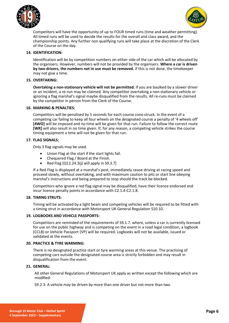



Competitors will have the opportunity of up to FOUR timed runs (time and weather permitting). All timed runs will be used to decide the results for the overall and class award, and the championship points. Any further non qualifying runs will take place at the discretion of the Clerk of the Course on the day.

# **14. IDENTIFICATION:**

Identification will be by competition numbers on either side of the car which will be allocated by the organisers. However, numbers will not be provided by the organisers. **Where a car is driven by two drivers, the numbers not in use must be removed.** If this is not done, the timekeeper may not give a time.

# **15. OVERTAKING:**

**Overtaking a non-stationary vehicle will not be permitted.** If you are baulked by a slower driver or an incident, a re-run may be claimed. Any competitor overtaking a non-stationary vehicle or ignoring a flag marshal's signal maybe disqualified from the results. All re-runs must be claimed by the competitor in person from the Clerk of the Course.

# **16. MARKING & PENALTIES:**

Competitors will be penalised by 5 seconds for each course cone struck. In the event of a competing car failing to keep all four wheels on the designated course a penalty of '4 wheels off' **[4WO]** will be imposed and no time will be given for that run. Failure to follow the correct route **[WR]** will also result in no time given. If, for any reason, a competing vehicle strikes the course timing equipment a time will not be given for that run.

# **17. FLAG SIGNALS:**

Only 3 flag signals may be used.

- Union Flag at the start if the start lights fail.
- Chequered Flag / Board at the Finish.
- Red Flag [Q12.24.3(j) will apply in S9.3.7]

If a Red Flag is displayed at a marshal's post, immediately cease driving at racing speed and proceed slowly, without overtaking, and with maximum caution to pits or start line obeying marshal's instructions and being prepared to stop should the track be blocked.

Competitors who ignore a red flag signal may be disqualified, have their licence endorsed and incur licence penalty points in accordance with C2.1.4-C2.1.8.

# **18. TIMING STRUTS:**

Timing will be activated by a light beam and competing vehicles will be required to be fitted with a timing strut in accordance with Motorsport UK General Regulation S10.10.

# **19. LOGBOOKS AND VEHICLE PASSPORTS:**

Competitors are reminded of the requirements of S9.1.7. where, unless a car is currently licensed for use on the public highway and is competing on the event in a road legal condition, a logbook (CCLB) or Vehicle Passport (VP) will be required. Logbooks will not be available, issued or validated at the events.

# **20. PRACTICE & TYRE WARMING:**

There is no designated practice start or tyre warming areas at this venue. The practising of competing cars outside the designated course area is strictly forbidden and may result in disqualification from the event.

# **21. GENERAL:**

All other General Regulations of Motorsport UK apply as written except the following which are modified:

S9.2.3: A vehicle may be driven by more than one driver but not more than two.